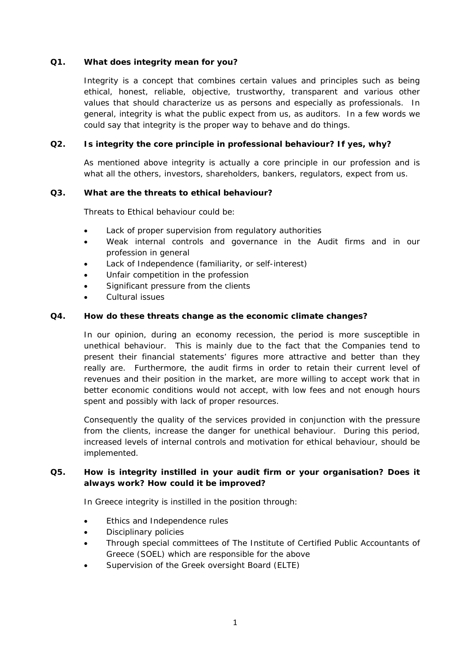#### **Q1. What does integrity mean for you?**

Integrity is a concept that combines certain values and principles such as being ethical, honest, reliable, objective, trustworthy, transparent and various other values that should characterize us as persons and especially as professionals. In general, integrity is what the public expect from us, as auditors. In a few words we could say that integrity is the proper way to behave and do things.

#### **Q2. Is integrity the core principle in professional behaviour? If yes, why?**

As mentioned above integrity is actually a core principle in our profession and is what all the others, investors, shareholders, bankers, regulators, expect from us.

#### **Q3. What are the threats to ethical behaviour?**

Threats to Ethical behaviour could be:

- Lack of proper supervision from regulatory authorities
- Weak internal controls and governance in the Audit firms and in our profession in general
- Lack of Independence (familiarity, or self-interest)
- Unfair competition in the profession
- Significant pressure from the clients
- Cultural issues

#### **Q4. How do these threats change as the economic climate changes?**

In our opinion, during an economy recession, the period is more susceptible in unethical behaviour. This is mainly due to the fact that the Companies tend to present their financial statements' figures more attractive and better than they really are. Furthermore, the audit firms in order to retain their current level of revenues and their position in the market, are more willing to accept work that in better economic conditions would not accept, with low fees and not enough hours spent and possibly with lack of proper resources.

Consequently the quality of the services provided in conjunction with the pressure from the clients, increase the danger for unethical behaviour. During this period, increased levels of internal controls and motivation for ethical behaviour, should be implemented.

### **Q5. How is integrity instilled in your audit firm or your organisation? Does it always work? How could it be improved?**

In Greece integrity is instilled in the position through:

- **•** Ethics and Independence rules
- Disciplinary policies
- Through special committees of The Institute of Certified Public Accountants of Greece (SOEL) which are responsible for the above
- Supervision of the Greek oversight Board (ELTE)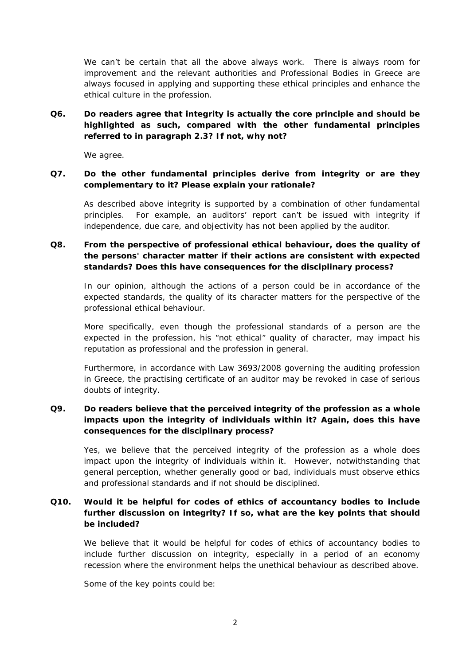We can't be certain that all the above always work. There is always room for improvement and the relevant authorities and Professional Bodies in Greece are always focused in applying and supporting these ethical principles and enhance the ethical culture in the profession.

# **Q6. Do readers agree that integrity is actually the core principle and should be highlighted as such, compared with the other fundamental principles referred to in paragraph 2.3? If not, why not?**

We agree.

#### **Q7. Do the other fundamental principles derive from integrity or are they complementary to it? Please explain your rationale?**

As described above integrity is supported by a combination of other fundamental principles. For example, an auditors' report can't be issued with integrity if independence, due care, and objectivity has not been applied by the auditor.

# **Q8. From the perspective of professional ethical behaviour, does the quality of the persons' character matter if their actions are consistent with expected standards? Does this have consequences for the disciplinary process?**

In our opinion, although the actions of a person could be in accordance of the expected standards, the quality of its character matters for the perspective of the professional ethical behaviour.

More specifically, even though the professional standards of a person are the expected in the profession, his "not ethical" quality of character, may impact his reputation as professional and the profession in general.

Furthermore, in accordance with Law 3693/2008 governing the auditing profession in Greece, the practising certificate of an auditor may be revoked in case of serious doubts of integrity.

# **Q9. Do readers believe that the perceived integrity of the profession as a whole impacts upon the integrity of individuals within it? Again, does this have consequences for the disciplinary process?**

Yes, we believe that the perceived integrity of the profession as a whole does impact upon the integrity of individuals within it. However, notwithstanding that general perception, whether generally good or bad, individuals must observe ethics and professional standards and if not should be disciplined.

## **Q10. Would it be helpful for codes of ethics of accountancy bodies to include further discussion on integrity? If so, what are the key points that should be included?**

We believe that it would be helpful for codes of ethics of accountancy bodies to include further discussion on integrity, especially in a period of an economy recession where the environment helps the unethical behaviour as described above.

Some of the key points could be: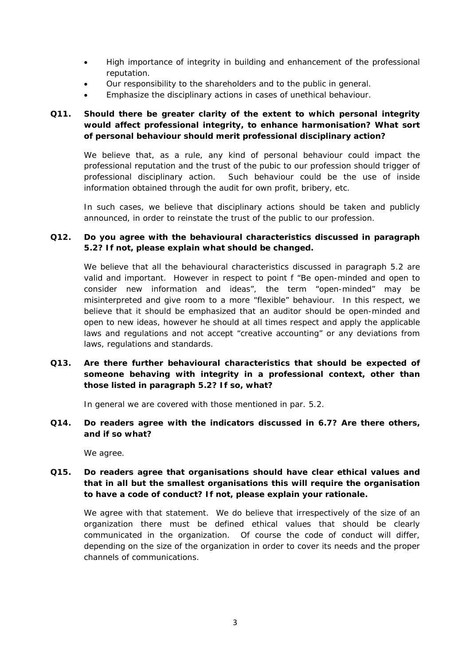- High importance of integrity in building and enhancement of the professional reputation.
- Our responsibility to the shareholders and to the public in general.
- Emphasize the disciplinary actions in cases of unethical behaviour.

# **Q11. Should there be greater clarity of the extent to which personal integrity would affect professional integrity, to enhance harmonisation? What sort of personal behaviour should merit professional disciplinary action?**

We believe that, as a rule, any kind of personal behaviour could impact the professional reputation and the trust of the pubic to our profession should trigger of professional disciplinary action. Such behaviour could be the use of inside information obtained through the audit for own profit, bribery, etc.

In such cases, we believe that disciplinary actions should be taken and publicly announced, in order to reinstate the trust of the public to our profession.

## **Q12. Do you agree with the behavioural characteristics discussed in paragraph 5.2? If not, please explain what should be changed.**

We believe that all the behavioural characteristics discussed in paragraph 5.2 are valid and important. However in respect to point f "Be open-minded and open to consider new information and ideas", the term "open-minded" may be misinterpreted and give room to a more "flexible" behaviour. In this respect, we believe that it should be emphasized that an auditor should be open-minded and open to new ideas, however he should at all times respect and apply the applicable laws and regulations and not accept "creative accounting" or any deviations from laws, regulations and standards.

## **Q13. Are there further behavioural characteristics that should be expected of someone behaving with integrity in a professional context, other than those listed in paragraph 5.2? If so, what?**

In general we are covered with those mentioned in par. 5.2.

**Q14. Do readers agree with the indicators discussed in 6.7? Are there others, and if so what?** 

We agree.

## **Q15. Do readers agree that organisations should have clear ethical values and that in all but the smallest organisations this will require the organisation to have a code of conduct? If not, please explain your rationale.**

We agree with that statement. We do believe that irrespectively of the size of an organization there must be defined ethical values that should be clearly communicated in the organization. Of course the code of conduct will differ, depending on the size of the organization in order to cover its needs and the proper channels of communications.